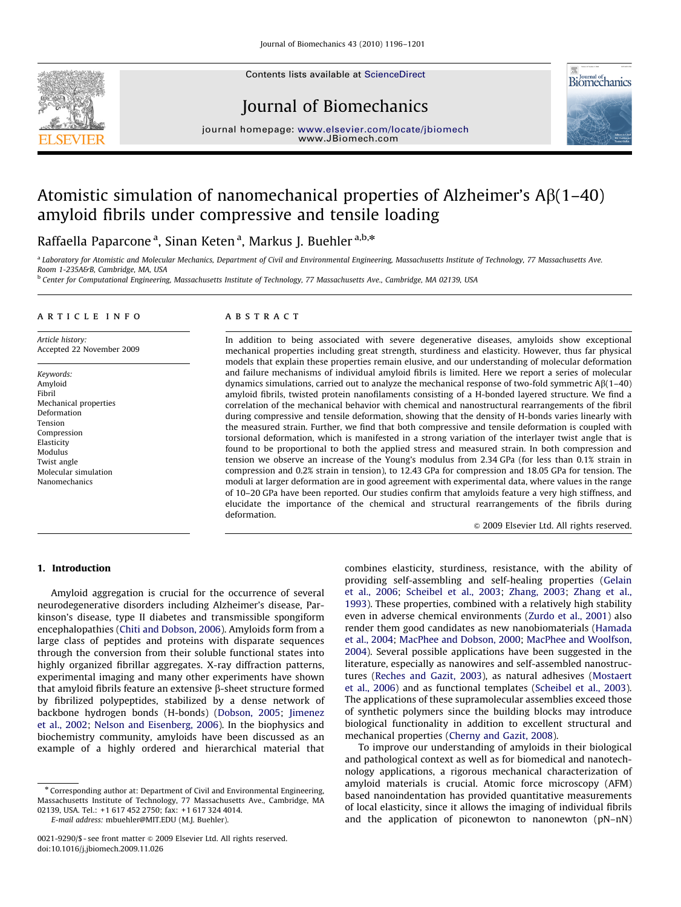Contents lists available at ScienceDirect

# Journal of Biomechanics

journal homepage: www.elsevier.com/locate/jbiomech www.JBiomech.com



## Atomistic simulation of nanomechanical properties of Alzheimer's  $A\beta(1-40)$ amyloid fibrils under compressive and tensile loading

Raffaella Paparcone <sup>a</sup>, Sinan Keten <sup>a</sup>, Markus J. Buehler <sup>a,b,</sup>\*

a Laboratory for Atomistic and Molecular Mechanics, Department of Civil and Environmental Engineering, Massachusetts Institute of Technology, 77 Massachusetts Ave. Room 1-235A&B, Cambridge, MA, USA

<sup>b</sup> Center for Computational Engineering, Massachusetts Institute of Technology, 77 Massachusetts Ave., Cambridge, MA 02139, USA

#### article info

Article history: Accepted 22 November 2009

Keywords: Amyloid Fibril Mechanical properties Deformation Tension Compression Elasticity Modulus Twist angle Molecular simulation Nanomechanics

### **ABSTRACT**

In addition to being associated with severe degenerative diseases, amyloids show exceptional mechanical properties including great strength, sturdiness and elasticity. However, thus far physical models that explain these properties remain elusive, and our understanding of molecular deformation and failure mechanisms of individual amyloid fibrils is limited. Here we report a series of molecular dynamics simulations, carried out to analyze the mechanical response of two-fold symmetric  $A\beta(1-40)$ amyloid fibrils, twisted protein nanofilaments consisting of a H-bonded layered structure. We find a correlation of the mechanical behavior with chemical and nanostructural rearrangements of the fibril during compressive and tensile deformation, showing that the density of H-bonds varies linearly with the measured strain. Further, we find that both compressive and tensile deformation is coupled with torsional deformation, which is manifested in a strong variation of the interlayer twist angle that is found to be proportional to both the applied stress and measured strain. In both compression and tension we observe an increase of the Young's modulus from 2.34 GPa (for less than 0.1% strain in compression and 0.2% strain in tension), to 12.43 GPa for compression and 18.05 GPa for tension. The moduli at larger deformation are in good agreement with experimental data, where values in the range of 10–20 GPa have been reported. Our studies confirm that amyloids feature a very high stiffness, and elucidate the importance of the chemical and structural rearrangements of the fibrils during deformation.

 $\odot$  2009 Elsevier Ltd. All rights reserved.

## 1. Introduction

Amyloid aggregation is crucial for the occurrence of several neurodegenerative disorders including Alzheimer's disease, Parkinson's disease, type II diabetes and transmissible spongiform encephalopathies ([Chiti and Dobson, 2006](#page-5-0)). Amyloids form from a large class of peptides and proteins with disparate sequences through the conversion from their soluble functional states into highly organized fibrillar aggregates. X-ray diffraction patterns, experimental imaging and many other experiments have shown that amyloid fibrils feature an extensive  $\beta$ -sheet structure formed by fibrilized polypeptides, stabilized by a dense network of backbone hydrogen bonds (H-bonds) [\(Dobson, 2005](#page-5-0); [Jimenez](#page-5-0) [et al., 2002](#page-5-0); [Nelson and Eisenberg, 2006](#page-5-0)). In the biophysics and biochemistry community, amyloids have been discussed as an example of a highly ordered and hierarchical material that

E-mail address: [mbuehler@MIT.EDU \(M.J. Buehler\).](mailto:mbuehler@mit.edu)

combines elasticity, sturdiness, resistance, with the ability of providing self-assembling and self-healing properties [\(Gelain](#page-5-0) [et al., 2006](#page-5-0); [Scheibel et al., 2003](#page-5-0); [Zhang, 2003;](#page-5-0) [Zhang et al.,](#page-5-0) [1993](#page-5-0)). These properties, combined with a relatively high stability even in adverse chemical environments [\(Zurdo et al., 2001](#page-5-0)) also render them good candidates as new nanobiomaterials [\(Hamada](#page-5-0) [et al., 2004;](#page-5-0) [MacPhee and Dobson, 2000](#page-5-0); [MacPhee and Woolfson,](#page-5-0) [2004\)](#page-5-0). Several possible applications have been suggested in the literature, especially as nanowires and self-assembled nanostructures [\(Reches and Gazit, 2003\)](#page-5-0), as natural adhesives [\(Mostaert](#page-5-0) [et al., 2006\)](#page-5-0) and as functional templates [\(Scheibel et al., 2003\)](#page-5-0). The applications of these supramolecular assemblies exceed those of synthetic polymers since the building blocks may introduce biological functionality in addition to excellent structural and mechanical properties [\(Cherny and Gazit, 2008\)](#page-5-0).

To improve our understanding of amyloids in their biological and pathological context as well as for biomedical and nanotechnology applications, a rigorous mechanical characterization of amyloid materials is crucial. Atomic force microscopy (AFM) based nanoindentation has provided quantitative measurements of local elasticity, since it allows the imaging of individual fibrils and the application of piconewton to nanonewton (pN–nN)

<sup>\*</sup> Corresponding author at: Department of Civil and Environmental Engineering, Massachusetts Institute of Technology, 77 Massachusetts Ave., Cambridge, MA 02139, USA. Tel.: +1 617 452 2750; fax: +1 617 324 4014.

<sup>0021-9290/\$ -</sup> see front matter @ 2009 Elsevier Ltd. All rights reserved. doi:[10.1016/j.jbiomech.2009.11.026](dx.doi.org/10.1016/j.jbiomech.2009.11.026)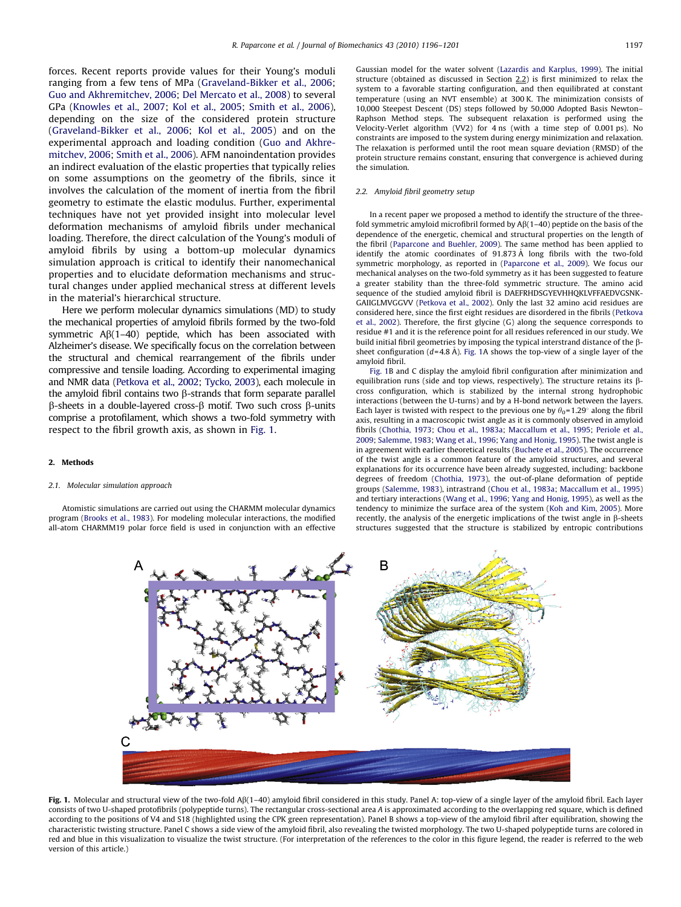<span id="page-1-0"></span>forces. Recent reports provide values for their Young's moduli ranging from a few tens of MPa [\(Graveland-Bikker et al., 2006;](#page-5-0) [Guo and Akhremitchev, 2006](#page-5-0); [Del Mercato et al., 2008\)](#page-5-0) to several GPa [\(Knowles et al., 2007;](#page-5-0) [Kol et al., 2005;](#page-5-0) [Smith et al., 2006\)](#page-5-0), depending on the size of the considered protein structure ([Graveland-Bikker et al., 2006](#page-5-0); [Kol et al., 2005\)](#page-5-0) and on the experimental approach and loading condition [\(Guo and Akhre](#page-5-0)[mitchev, 2006;](#page-5-0) [Smith et al., 2006](#page-5-0)). AFM nanoindentation provides an indirect evaluation of the elastic properties that typically relies on some assumptions on the geometry of the fibrils, since it involves the calculation of the moment of inertia from the fibril geometry to estimate the elastic modulus. Further, experimental techniques have not yet provided insight into molecular level deformation mechanisms of amyloid fibrils under mechanical loading. Therefore, the direct calculation of the Young's moduli of amyloid fibrils by using a bottom-up molecular dynamics simulation approach is critical to identify their nanomechanical properties and to elucidate deformation mechanisms and structural changes under applied mechanical stress at different levels in the material's hierarchical structure.

Here we perform molecular dynamics simulations (MD) to study the mechanical properties of amyloid fibrils formed by the two-fold symmetric  $A\beta(1-40)$  peptide, which has been associated with Alzheimer's disease. We specifically focus on the correlation between the structural and chemical rearrangement of the fibrils under compressive and tensile loading. According to experimental imaging and NMR data ([Petkova et al., 2002;](#page-5-0) [Tycko, 2003](#page-5-0)), each molecule in the amyloid fibril contains two  $\beta$ -strands that form separate parallel  $\beta$ -sheets in a double-layered cross- $\beta$  motif. Two such cross  $\beta$ -units comprise a protofilament, which shows a two-fold symmetry with respect to the fibril growth axis, as shown in Fig. 1.

#### 2. Methods

#### 2.1. Molecular simulation approach

Atomistic simulations are carried out using the CHARMM molecular dynamics program ([Brooks et al., 1983](#page-5-0)). For modeling molecular interactions, the modified all-atom CHARMM19 polar force field is used in conjunction with an effective Gaussian model for the water solvent [\(Lazardis and Karplus, 1999](#page-5-0)). The initial structure (obtained as discussed in Section 2.2) is first minimized to relax the system to a favorable starting configuration, and then equilibrated at constant temperature (using an NVT ensemble) at 300 K. The minimization consists of 10,000 Steepest Descent (DS) steps followed by 50,000 Adopted Basis Newton– Raphson Method steps. The subsequent relaxation is performed using the Velocity-Verlet algorithm (VV2) for 4 ns (with a time step of 0.001 ps). No constraints are imposed to the system during energy minimization and relaxation. The relaxation is performed until the root mean square deviation (RMSD) of the protein structure remains constant, ensuring that convergence is achieved during the simulation.

## 2.2. Amyloid fibril geometry setup

In a recent paper we proposed a method to identify the structure of the threefold symmetric amyloid microfibril formed by  $A\beta(1-40)$  peptide on the basis of the dependence of the energetic, chemical and structural properties on the length of the fibril ([Paparcone and Buehler, 2009](#page-5-0)). The same method has been applied to identify the atomic coordinates of  $91.873 \text{ Å}$  long fibrils with the two-fold symmetric morphology, as reported in ([Paparcone et al., 2009\)](#page-5-0). We focus our mechanical analyses on the two-fold symmetry as it has been suggested to feature a greater stability than the three-fold symmetric structure. The amino acid sequence of the studied amyloid fibril is DAEFRHDSGYEVHHQKLVFFAEDVGSNK-GAIIGLMVGGVV ([Petkova et al., 2002](#page-5-0)). Only the last 32 amino acid residues are considered here, since the first eight residues are disordered in the fibrils [\(Petkova](#page-5-0) [et al., 2002](#page-5-0)). Therefore, the first glycine (G) along the sequence corresponds to residue #1 and it is the reference point for all residues referenced in our study. We build initial fibril geometries by imposing the typical interstrand distance of the  $\beta$ sheet configuration  $(d=4.8 \text{ Å})$ . Fig. 1A shows the top-view of a single layer of the amyloid fibril.

Fig. 1B and C display the amyloid fibril configuration after minimization and equilibration runs (side and top views, respectively). The structure retains its  $\beta$ cross configuration, which is stabilized by the internal strong hydrophobic interactions (between the U-turns) and by a H-bond network between the layers. Each layer is twisted with respect to the previous one by  $\theta_0$ =1.29° along the fibril axis, resulting in a macroscopic twist angle as it is commonly observed in amyloid fibrils [\(Chothia, 1973;](#page-5-0) [Chou et al., 1983a;](#page-5-0) [Maccallum et al., 1995;](#page-5-0) [Periole et al.,](#page-5-0) [2009;](#page-5-0) [Salemme, 1983](#page-5-0); [Wang et al., 1996;](#page-5-0) [Yang and Honig, 1995](#page-5-0)). The twist angle is in agreement with earlier theoretical results ([Buchete et al., 2005](#page-5-0)). The occurrence of the twist angle is a common feature of the amyloid structures, and several explanations for its occurrence have been already suggested, including: backbone degrees of freedom [\(Chothia, 1973\)](#page-5-0), the out-of-plane deformation of peptide groups [\(Salemme, 1983](#page-5-0)), intrastrand ([Chou et al., 1983a](#page-5-0); [Maccallum et al., 1995](#page-5-0)) and tertiary interactions [\(Wang et al., 1996;](#page-5-0) [Yang and Honig, 1995](#page-5-0)), as well as the tendency to minimize the surface area of the system ([Koh and Kim, 2005](#page-5-0)). More recently, the analysis of the energetic implications of the twist angle in  $\beta$ -sheets structures suggested that the structure is stabilized by entropic contributions



Fig. 1. Molecular and structural view of the two-fold A $\beta(1-40)$  amyloid fibril considered in this study. Panel A: top-view of a single layer of the amyloid fibril. Each layer consists of two U-shaped protofibrils (polypeptide turns). The rectangular cross-sectional area A is approximated according to the overlapping red square, which is defined according to the positions of V4 and S18 (highlighted using the CPK green representation). Panel B shows a top-view of the amyloid fibril after equilibration, showing the characteristic twisting structure. Panel C shows a side view of the amyloid fibril, also revealing the twisted morphology. The two U-shaped polypeptide turns are colored in red and blue in this visualization to visualize the twist structure. (For interpretation of the references to the color in this figure legend, the reader is referred to the web version of this article.)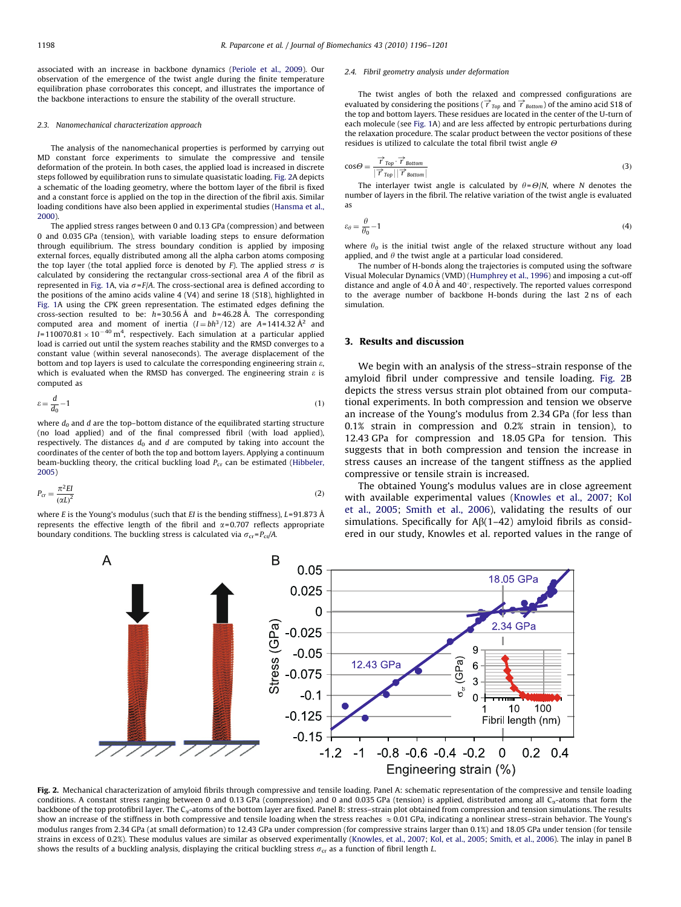<span id="page-2-0"></span>associated with an increase in backbone dynamics [\(Periole et al., 2009\)](#page-5-0). Our observation of the emergence of the twist angle during the finite temperature equilibration phase corroborates this concept, and illustrates the importance of the backbone interactions to ensure the stability of the overall structure.

#### 2.3. Nanomechanical characterization approach

The analysis of the nanomechanical properties is performed by carrying out MD constant force experiments to simulate the compressive and tensile deformation of the protein. In both cases, the applied load is increased in discrete steps followed by equilibration runs to simulate quasistatic loading. Fig. 2A depicts a schematic of the loading geometry, where the bottom layer of the fibril is fixed and a constant force is applied on the top in the direction of the fibril axis. Similar loading conditions have also been applied in experimental studies [\(Hansma et al.,](#page-5-0) [2000\)](#page-5-0).

The applied stress ranges between 0 and 0.13 GPa (compression) and between 0 and 0.035 GPa (tension), with variable loading steps to ensure deformation through equilibrium. The stress boundary condition is applied by imposing external forces, equally distributed among all the alpha carbon atoms composing the top layer (the total applied force is denoted by F). The applied stress  $\sigma$  is calculated by considering the rectangular cross-sectional area A of the fibril as represented in [Fig. 1A](#page-1-0), via  $\sigma = F/A$ . The cross-sectional area is defined according to the positions of the amino acids valine 4 (V4) and serine 18 (S18), highlighted in [Fig. 1](#page-1-0)A using the CPK green representation. The estimated edges defining the cross-section resulted to be:  $h=30.56 \text{ Å}$  and  $b=46.28 \text{ Å}$ . The corresponding computed area and moment of inertia  $(I = bh^3/12)$  are A=1414.32  $\AA^2$  and  $I=110070.81\times 10^{-40}\,\text{m}^4$ , respectively. Each simulation at a particular applied load is carried out until the system reaches stability and the RMSD converges to a constant value (within several nanoseconds). The average displacement of the bottom and top layers is used to calculate the corresponding engineering strain  $\varepsilon$ , which is evaluated when the RMSD has converged. The engineering strain  $\varepsilon$  is computed as

$$
\varepsilon = \frac{d}{d_0} - 1\tag{1}
$$

where  $d_0$  and d are the top–bottom distance of the equilibrated starting structure (no load applied) and of the final compressed fibril (with load applied), respectively. The distances  $d_0$  and  $d$  are computed by taking into account the coordinates of the center of both the top and bottom layers. Applying a continuum beam-buckling theory, the critical buckling load  $P_{cr}$  can be estimated ([Hibbeler,](#page-5-0) [2005](#page-5-0))

$$
P_{cr} = \frac{\pi^2 EI}{(\alpha L)^2} \tag{2}
$$

where E is the Young's modulus (such that EI is the bending stiffness),  $L=91.873 \text{ Å}$ represents the effective length of the fibril and  $\alpha$ =0.707 reflects appropriate boundary conditions. The buckling stress is calculated via  $\sigma_{\rm cr} = P_{\rm cr}/A$ .

#### 2.4. Fibril geometry analysis under deformation

The twist angles of both the relaxed and compressed configurations are evaluated by considering the positions ( $\vec{r}_{Top}$  and  $\vec{r}_{Bottom}$ ) of the amino acid S18 of the top and bottom layers. These residues are located in the center of the U-turn of each molecule (see [Fig. 1](#page-1-0)A) and are less affected by entropic perturbations during the relaxation procedure. The scalar product between the vector positions of these residues is utilized to calculate the total fibril twist angle  $\Theta$ 

$$
\cos\theta = \frac{\vec{r}_{Top} \cdot \vec{r}_{Bottom}}{|\vec{r}_{Top}||\vec{r}_{Bottom}|}
$$
(3)  
The interlayer twist angle is calculated by  $\theta = \theta/N$ , where *N* denotes the

number of layers in the fibril. The relative variation of the twist angle is evaluated as

$$
\varepsilon_{\theta} = \frac{\theta}{\theta_0} - 1\tag{4}
$$

where  $\theta_0$  is the initial twist angle of the relaxed structure without any load applied, and  $\theta$  the twist angle at a particular load considered.

The number of H-bonds along the trajectories is computed using the software Visual Molecular Dynamics (VMD) [\(Humphrey et al., 1996\)](#page-5-0) and imposing a cut-off distance and angle of 4.0 Å and  $40^{\circ}$ , respectively. The reported values correspond to the average number of backbone H-bonds during the last 2 ns of each simulation.

## 3. Results and discussion

We begin with an analysis of the stress–strain response of the amyloid fibril under compressive and tensile loading. Fig. 2B depicts the stress versus strain plot obtained from our computational experiments. In both compression and tension we observe an increase of the Young's modulus from 2.34 GPa (for less than 0.1% strain in compression and 0.2% strain in tension), to 12.43 GPa for compression and 18.05 GPa for tension. This suggests that in both compression and tension the increase in stress causes an increase of the tangent stiffness as the applied compressive or tensile strain is increased.

The obtained Young's modulus values are in close agreement with available experimental values ([Knowles et al., 2007;](#page-5-0) [Kol](#page-5-0) [et al., 2005;](#page-5-0) [Smith et al., 2006\)](#page-5-0), validating the results of our simulations. Specifically for  $A\beta(1-42)$  amyloid fibrils as considered in our study, Knowles et al. reported values in the range of



Fig. 2. Mechanical characterization of amyloid fibrils through compressive and tensile loading. Panel A: schematic representation of the compressive and tensile loading conditions. A constant stress ranging between 0 and 0.13 GPa (compression) and 0 and 0.035 GPa (tension) is applied, distributed among all C<sub>a</sub>-atoms that form the backbone of the top protofibril layer. The C<sub>x</sub>-atoms of the bottom layer are fixed. Panel B: stress-strain plot obtained from compression and tension simulations. The results show an increase of the stiffness in both compressive and tensile loading when the stress reaches  $\approx 0.01$  GPa, indicating a nonlinear stress-strain behavior. The Young's modulus ranges from 2.34 GPa (at small deformation) to 12.43 GPa under compression (for compressive strains larger than 0.1%) and 18.05 GPa under tension (for tensile strains in excess of 0.2%). These modulus values are similar as observed experimentally [\(Knowles, et al., 2007](#page-5-0); [Kol, et al., 2005](#page-5-0); [Smith, et al., 2006\)](#page-5-0). The inlay in panel B shows the results of a buckling analysis, displaying the critical buckling stress  $\sigma_{cr}$  as a function of fibril length L.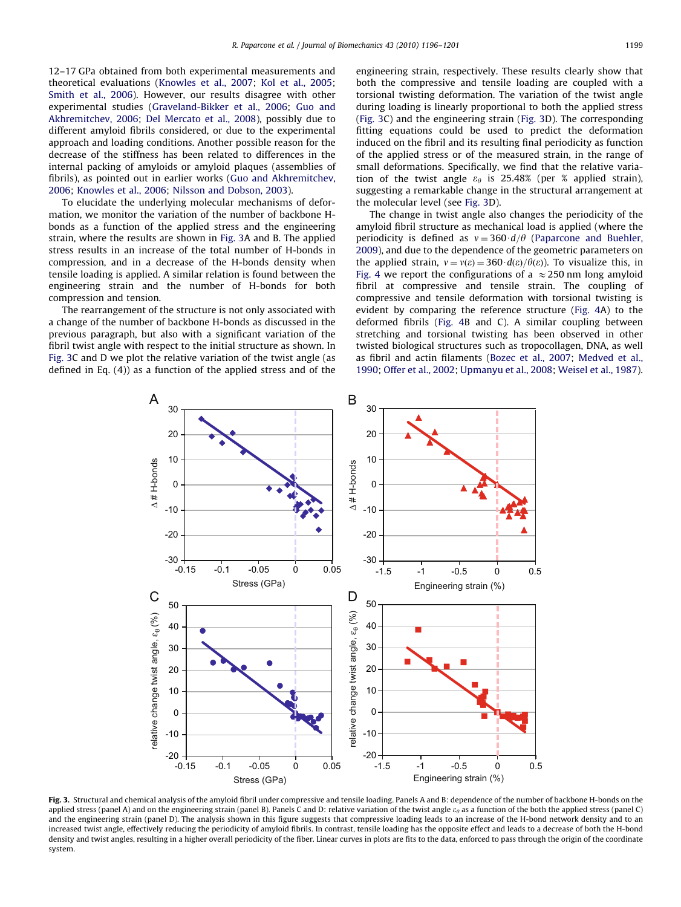<span id="page-3-0"></span>12–17 GPa obtained from both experimental measurements and theoretical evaluations ([Knowles et al., 2007](#page-5-0); [Kol et al., 2005;](#page-5-0) [Smith et al., 2006](#page-5-0)). However, our results disagree with other experimental studies [\(Graveland-Bikker et al., 2006](#page-5-0); [Guo and](#page-5-0) [Akhremitchev, 2006;](#page-5-0) [Del Mercato et al., 2008](#page-5-0)), possibly due to different amyloid fibrils considered, or due to the experimental approach and loading conditions. Another possible reason for the decrease of the stiffness has been related to differences in the internal packing of amyloids or amyloid plaques (assemblies of fibrils), as pointed out in earlier works ([Guo and Akhremitchev,](#page-5-0) [2006;](#page-5-0) [Knowles et al., 2006](#page-5-0); [Nilsson and Dobson, 2003\)](#page-5-0).

To elucidate the underlying molecular mechanisms of deformation, we monitor the variation of the number of backbone Hbonds as a function of the applied stress and the engineering strain, where the results are shown in Fig. 3A and B. The applied stress results in an increase of the total number of H-bonds in compression, and in a decrease of the H-bonds density when tensile loading is applied. A similar relation is found between the engineering strain and the number of H-bonds for both compression and tension.

The rearrangement of the structure is not only associated with a change of the number of backbone H-bonds as discussed in the previous paragraph, but also with a significant variation of the fibril twist angle with respect to the initial structure as shown. In Fig. 3C and D we plot the relative variation of the twist angle (as defined in Eq. (4)) as a function of the applied stress and of the engineering strain, respectively. These results clearly show that both the compressive and tensile loading are coupled with a torsional twisting deformation. The variation of the twist angle during loading is linearly proportional to both the applied stress (Fig. 3C) and the engineering strain (Fig. 3D). The corresponding fitting equations could be used to predict the deformation induced on the fibril and its resulting final periodicity as function of the applied stress or of the measured strain, in the range of small deformations. Specifically, we find that the relative variation of the twist angle  $\varepsilon_{\theta}$  is 25.48% (per % applied strain), suggesting a remarkable change in the structural arrangement at the molecular level (see Fig. 3D).

The change in twist angle also changes the periodicity of the amyloid fibril structure as mechanical load is applied (where the periodicity is defined as  $v = 360 \cdot d/\theta$  ([Paparcone and Buehler,](#page-5-0) [2009\)](#page-5-0), and due to the dependence of the geometric parameters on the applied strain,  $v = v(\varepsilon) = 360 \cdot d(\varepsilon)/\theta(\varepsilon)$ . To visualize this, in [Fig. 4](#page-4-0) we report the configurations of a  $\approx$  250 nm long amyloid fibril at compressive and tensile strain. The coupling of compressive and tensile deformation with torsional twisting is evident by comparing the reference structure ([Fig. 4](#page-4-0)A) to the deformed fibrils [\(Fig. 4](#page-4-0)B and C). A similar coupling between stretching and torsional twisting has been observed in other twisted biological structures such as tropocollagen, DNA, as well as fibril and actin filaments ([Bozec et al., 2007](#page-5-0); [Medved et al.,](#page-5-0) [1990;](#page-5-0) [Offer et al., 2002;](#page-5-0) [Upmanyu et al., 2008](#page-5-0); [Weisel et al., 1987\)](#page-5-0).



Fig. 3. Structural and chemical analysis of the amyloid fibril under compressive and tensile loading. Panels A and B: dependence of the number of backbone H-bonds on the applied stress (panel A) and on the engineering strain (panel B). Panels C and D: relative variation of the twist angle  $\varepsilon_{\theta}$  as a function of the both the applied stress (panel C) and the engineering strain (panel D). The analysis shown in this figure suggests that compressive loading leads to an increase of the H-bond network density and to an increased twist angle, effectively reducing the periodicity of amyloid fibrils. In contrast, tensile loading has the opposite effect and leads to a decrease of both the H-bond density and twist angles, resulting in a higher overall periodicity of the fiber. Linear curves in plots are fits to the data, enforced to pass through the origin of the coordinate system.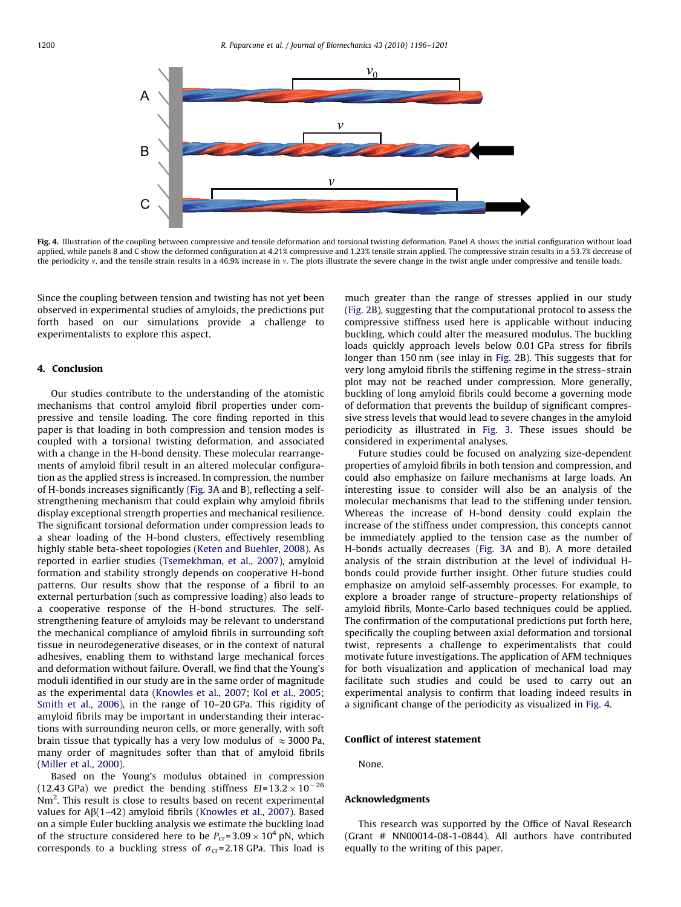<span id="page-4-0"></span>

Fig. 4. Illustration of the coupling between compressive and tensile deformation and torsional twisting deformation. Panel A shows the initial configuration without load applied, while panels B and C show the deformed configuration at 4.21% compressive and 1.23% tensile strain applied. The compressive strain results in a 53.7% decrease of the periodicity v, and the tensile strain results in a 46.9% increase in v. The plots illustrate the severe change in the twist angle under compressive and tensile loads.

Since the coupling between tension and twisting has not yet been observed in experimental studies of amyloids, the predictions put forth based on our simulations provide a challenge to experimentalists to explore this aspect.

### 4. Conclusion

Our studies contribute to the understanding of the atomistic mechanisms that control amyloid fibril properties under compressive and tensile loading. The core finding reported in this paper is that loading in both compression and tension modes is coupled with a torsional twisting deformation, and associated with a change in the H-bond density. These molecular rearrangements of amyloid fibril result in an altered molecular configuration as the applied stress is increased. In compression, the number of H-bonds increases significantly [\(Fig. 3A](#page-3-0) and B), reflecting a selfstrengthening mechanism that could explain why amyloid fibrils display exceptional strength properties and mechanical resilience. The significant torsional deformation under compression leads to a shear loading of the H-bond clusters, effectively resembling highly stable beta-sheet topologies ([Keten and Buehler, 2008](#page-5-0)). As reported in earlier studies ([Tsemekhman, et al., 2007](#page-5-0)), amyloid formation and stability strongly depends on cooperative H-bond patterns. Our results show that the response of a fibril to an external perturbation (such as compressive loading) also leads to a cooperative response of the H-bond structures. The selfstrengthening feature of amyloids may be relevant to understand the mechanical compliance of amyloid fibrils in surrounding soft tissue in neurodegenerative diseases, or in the context of natural adhesives, enabling them to withstand large mechanical forces and deformation without failure. Overall, we find that the Young's moduli identified in our study are in the same order of magnitude as the experimental data [\(Knowles et al., 2007;](#page-5-0) [Kol et al., 2005;](#page-5-0) [Smith et al., 2006](#page-5-0)), in the range of 10–20 GPa. This rigidity of amyloid fibrils may be important in understanding their interactions with surrounding neuron cells, or more generally, with soft brain tissue that typically has a very low modulus of  $\approx$  3000 Pa, many order of magnitudes softer than that of amyloid fibrils ([Miller et al., 2000](#page-5-0)).

Based on the Young's modulus obtained in compression (12.43 GPa) we predict the bending stiffness  $El = 13.2 \times 10^{-26}$  $Nm<sup>2</sup>$ . This result is close to results based on recent experimental values for Ab(1–42) amyloid fibrils ([Knowles et al., 2007\)](#page-5-0). Based on a simple Euler buckling analysis we estimate the buckling load of the structure considered here to be  $P_{\text{cr}}$ =3.09  $\times$  10<sup>4</sup> pN, which corresponds to a buckling stress of  $\sigma_{\rm cr}$ =2.18 GPa. This load is much greater than the range of stresses applied in our study ([Fig. 2](#page-2-0)B), suggesting that the computational protocol to assess the compressive stiffness used here is applicable without inducing buckling, which could alter the measured modulus. The buckling loads quickly approach levels below 0.01 GPa stress for fibrils longer than 150 nm (see inlay in [Fig. 2](#page-2-0)B). This suggests that for very long amyloid fibrils the stiffening regime in the stress–strain plot may not be reached under compression. More generally, buckling of long amyloid fibrils could become a governing mode of deformation that prevents the buildup of significant compressive stress levels that would lead to severe changes in the amyloid periodicity as illustrated in [Fig. 3](#page-3-0). These issues should be considered in experimental analyses.

Future studies could be focused on analyzing size-dependent properties of amyloid fibrils in both tension and compression, and could also emphasize on failure mechanisms at large loads. An interesting issue to consider will also be an analysis of the molecular mechanisms that lead to the stiffening under tension. Whereas the increase of H-bond density could explain the increase of the stiffness under compression, this concepts cannot be immediately applied to the tension case as the number of H-bonds actually decreases [\(Fig. 3](#page-3-0)A and B). A more detailed analysis of the strain distribution at the level of individual Hbonds could provide further insight. Other future studies could emphasize on amyloid self-assembly processes. For example, to explore a broader range of structure–property relationships of amyloid fibrils, Monte-Carlo based techniques could be applied. The confirmation of the computational predictions put forth here, specifically the coupling between axial deformation and torsional twist, represents a challenge to experimentalists that could motivate future investigations. The application of AFM techniques for both visualization and application of mechanical load may facilitate such studies and could be used to carry out an experimental analysis to confirm that loading indeed results in a significant change of the periodicity as visualized in Fig. 4.

## Conflict of interest statement

None.

#### Acknowledgments

This research was supported by the Office of Naval Research (Grant # NN00014-08-1-0844). All authors have contributed equally to the writing of this paper.